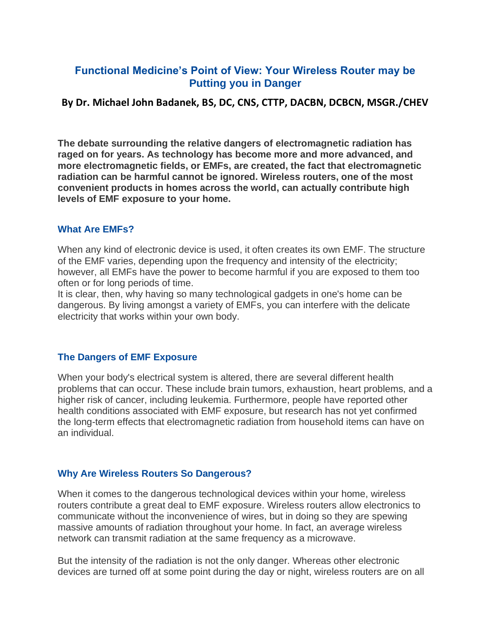# **Functional Medicine's Point of View: Your Wireless Router may be Putting you in Danger**

## **By Dr. Michael John Badanek, BS, DC, CNS, CTTP, DACBN, DCBCN, MSGR./CHEV**

**The debate surrounding the relative dangers of electromagnetic radiation has raged on for years. As technology has become more and more advanced, and more electromagnetic fields, or EMFs, are created, the fact that electromagnetic radiation can be harmful cannot be ignored. Wireless routers, one of the most convenient products in homes across the world, can actually contribute high levels of EMF exposure to your home.**

#### **What Are EMFs?**

When any kind of electronic device is used, it often creates its own EMF. The structure of the EMF varies, depending upon the frequency and intensity of the electricity; however, all EMFs have the power to become harmful if you are exposed to them too often or for long periods of time.

It is clear, then, why having so many technological gadgets in one's home can be dangerous. By living amongst a variety of EMFs, you can interfere with the delicate electricity that works within your own body.

### **The Dangers of EMF Exposure**

When your body's electrical system is altered, there are several different health problems that can occur. These include brain tumors, exhaustion, heart problems, and a higher risk of cancer, including leukemia. Furthermore, people have reported other health conditions associated with EMF exposure, but research has not yet confirmed the long-term effects that electromagnetic radiation from household items can have on an individual.

### **Why Are Wireless Routers So Dangerous?**

When it comes to the dangerous technological devices within your home, wireless routers contribute a great deal to EMF exposure. Wireless routers allow electronics to communicate without the inconvenience of wires, but in doing so they are spewing massive amounts of radiation throughout your home. In fact, an average wireless network can transmit radiation at the same frequency as a microwave.

But the intensity of the radiation is not the only danger. Whereas other electronic devices are turned off at some point during the day or night, wireless routers are on all